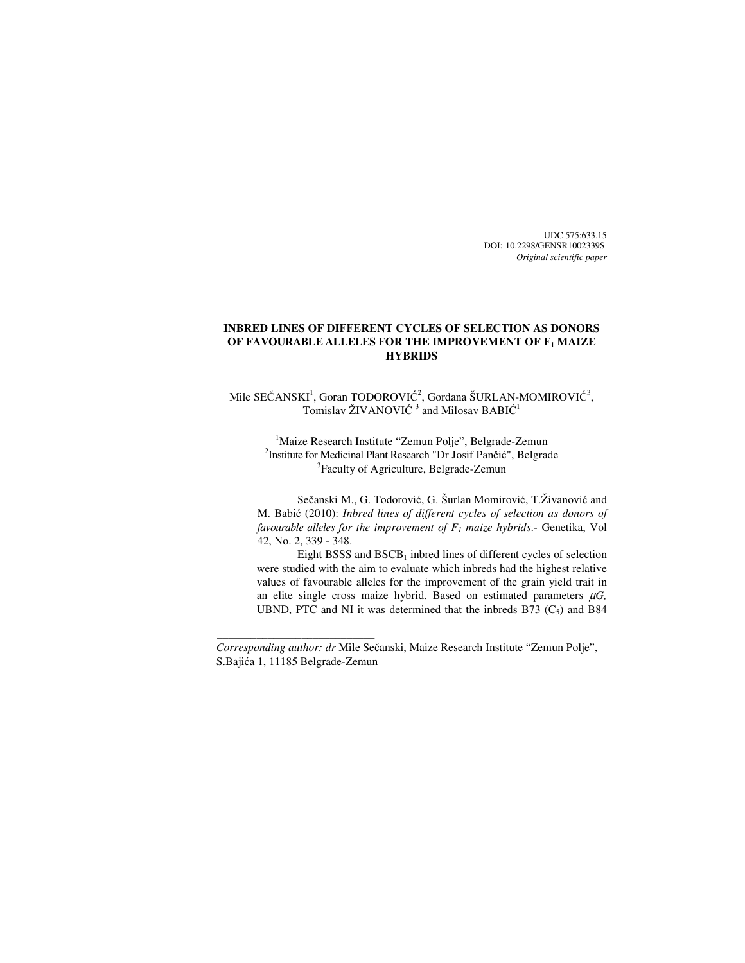UDC 575:633.15 DOI: 10.2298/GENSR1002339S *Original scientific paper* 

# **INBRED LINES OF DIFFERENT CYCLES OF SELECTION AS DONORS OF FAVOURABLE ALLELES FOR THE IMPROVEMENT OF F1 MAIZE HYBRIDS**

Mile SEČANSKI<sup>1</sup>, Goran TODOROVIĆ<sup>2</sup>, Gordana ŠURLAN-MOMIROVIĆ<sup>3</sup>, Tomislav ŽIVANOVIĆ<sup>3</sup> and Milosav BABIĆ<sup>1</sup>

<sup>1</sup>Maize Research Institute "Zemun Polje", Belgrade-Zemun <sup>2</sup>Institute for Medicinal Plant Research "Dr Josif Pančić", Belgrade <sup>3</sup>Faculty of Agriculture, Belgrade-Zemun

Sečanski M., G. Todorović, G. Šurlan Momirović, T.Živanović and M. Babić (2010): *Inbred lines of different cycles of selection as donors of favourable alleles for the improvement of F1 maize hybrids*.- Genetika, Vol 42, No. 2, 339 - 348.

Eight BSSS and  $BSCB<sub>1</sub>$  inbred lines of different cycles of selection were studied with the aim to evaluate which inbreds had the highest relative values of favourable alleles for the improvement of the grain yield trait in an elite single cross maize hybrid. Based on estimated parameters  $\mu$ G, UBND, PTC and NI it was determined that the inbreds B73  $(C_5)$  and B84

\_\_\_\_\_\_\_\_\_\_\_\_\_\_\_\_\_\_\_\_\_\_\_\_\_\_\_\_

*Corresponding author: dr* Mile Sečanski, Maize Research Institute "Zemun Polje", S.Bajića 1, 11185 Belgrade-Zemun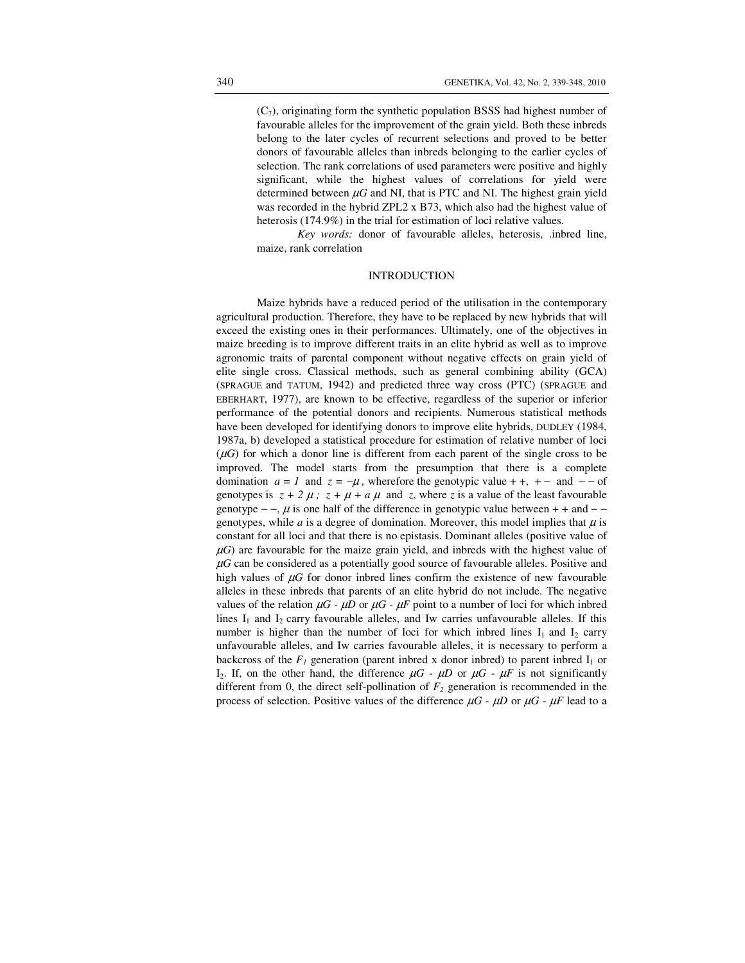$(C_7)$ , originating form the synthetic population BSSS had highest number of favourable alleles for the improvement of the grain yield. Both these inbreds belong to the later cycles of recurrent selections and proved to be better donors of favourable alleles than inbreds belonging to the earlier cycles of selection. The rank correlations of used parameters were positive and highly significant, while the highest values of correlations for yield were determined between  $\mu$ *G* and NI, that is PTC and NI. The highest grain yield was recorded in the hybrid ZPL2 x B73, which also had the highest value of heterosis (174.9%) in the trial for estimation of loci relative values.

*Key words:* donor of favourable alleles, heterosis, .inbred line, maize, rank correlation

#### INTRODUCTION

Maize hybrids have a reduced period of the utilisation in the contemporary agricultural production. Therefore, they have to be replaced by new hybrids that will exceed the existing ones in their performances. Ultimately, one of the objectives in maize breeding is to improve different traits in an elite hybrid as well as to improve agronomic traits of parental component without negative effects on grain yield of elite single cross. Classical methods, such as general combining ability (GCA) (SPRAGUE and TATUM, 1942) and predicted three way cross (PTC) (SPRAGUE and EBERHART, 1977), are known to be effective, regardless of the superior or inferior performance of the potential donors and recipients. Numerous statistical methods have been developed for identifying donors to improve elite hybrids, DUDLEY (1984, 1987a, b) developed a statistical procedure for estimation of relative number of loci  $(\mu)$  for which a donor line is different from each parent of the single cross to be improved. The model starts from the presumption that there is a complete domination  $a = 1$  and  $z = -\mu$ , wherefore the genotypic value + +, + − and - − of genotypes is  $z + 2 \mu$ ;  $z + \mu + a \mu$  and *z*, where *z* is a value of the least favourable genotype  $-$ ,  $\mu$  is one half of the difference in genotypic value between + + and  $$ genotypes, while  $a$  is a degree of domination. Moreover, this model implies that  $\mu$  is constant for all loci and that there is no epistasis. Dominant alleles (positive value of  $\mu$ *G*) are favourable for the maize grain yield, and inbreds with the highest value of <sup>µ</sup>*G* can be considered as a potentially good source of favourable alleles. Positive and high values of  $\mu$ *G* for donor inbred lines confirm the existence of new favourable alleles in these inbreds that parents of an elite hybrid do not include. The negative values of the relation  $\mu$ *G -*  $\mu$ *D* or  $\mu$ *G -*  $\mu$ *F* point to a number of loci for which inbred lines  $I_1$  and  $I_2$  carry favourable alleles, and Iw carries unfavourable alleles. If this number is higher than the number of loci for which inbred lines  $I_1$  and  $I_2$  carry unfavourable alleles, and Iw carries favourable alleles, it is necessary to perform a backcross of the  $F_I$  generation (parent inbred x donor inbred) to parent inbred  $I_I$  or I<sub>2</sub>. If, on the other hand, the difference  $\mu G - \mu D$  or  $\mu G - \mu F$  is not significantly different from 0, the direct self-pollination of *F2* generation is recommended in the process of selection. Positive values of the difference  $\mu$ *G* -  $\mu$ *D* or  $\mu$ *G* -  $\mu$ *F* lead to a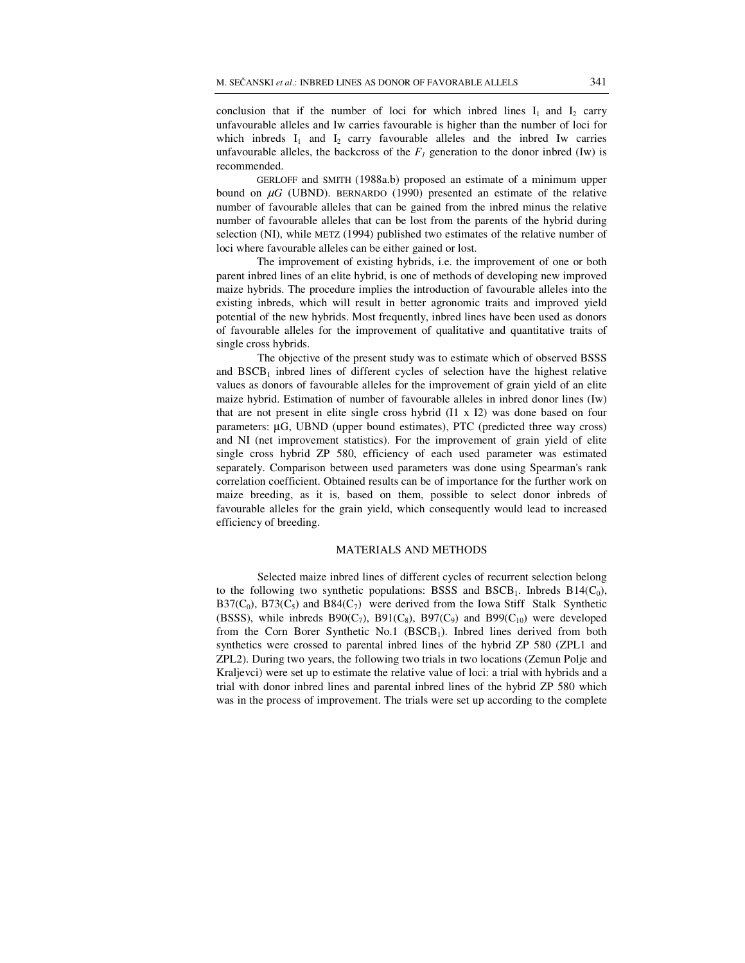conclusion that if the number of loci for which inbred lines  $I_1$  and  $I_2$  carry unfavourable alleles and Iw carries favourable is higher than the number of loci for which inbreds  $I_1$  and  $I_2$  carry favourable alleles and the inbred Iw carries unfavourable alleles, the backcross of the  $F_I$  generation to the donor inbred (Iw) is recommended.

GERLOFF and SMITH (1988a.b) proposed an estimate of a minimum upper bound on  $\mu$ *G* (UBND). BERNARDO (1990) presented an estimate of the relative number of favourable alleles that can be gained from the inbred minus the relative number of favourable alleles that can be lost from the parents of the hybrid during selection (NI), while METZ (1994) published two estimates of the relative number of loci where favourable alleles can be either gained or lost.

The improvement of existing hybrids, i.e. the improvement of one or both parent inbred lines of an elite hybrid, is one of methods of developing new improved maize hybrids. The procedure implies the introduction of favourable alleles into the existing inbreds, which will result in better agronomic traits and improved yield potential of the new hybrids. Most frequently, inbred lines have been used as donors of favourable alleles for the improvement of qualitative and quantitative traits of single cross hybrids.

 The objective of the present study was to estimate which of observed BSSS and  $BSCB<sub>1</sub>$  inbred lines of different cycles of selection have the highest relative values as donors of favourable alleles for the improvement of grain yield of an elite maize hybrid. Estimation of number of favourable alleles in inbred donor lines (Iw) that are not present in elite single cross hybrid (I1 x I2) was done based on four parameters: µG, UBND (upper bound estimates), PTC (predicted three way cross) and NI (net improvement statistics). For the improvement of grain yield of elite single cross hybrid ZP 580, efficiency of each used parameter was estimated separately. Comparison between used parameters was done using Spearman's rank correlation coefficient. Obtained results can be of importance for the further work on maize breeding, as it is, based on them, possible to select donor inbreds of favourable alleles for the grain yield, which consequently would lead to increased efficiency of breeding.

#### MATERIALS AND METHODS

Selected maize inbred lines of different cycles of recurrent selection belong to the following two synthetic populations: BSSS and BSCB<sub>1</sub>. Inbreds B14( $C_0$ ), B37( $C_0$ ), B73( $C_5$ ) and B84( $C_7$ ) were derived from the Iowa Stiff Stalk Synthetic (BSSS), while inbreds  $B90(C_7)$ ,  $B91(C_8)$ ,  $B97(C_9)$  and  $B99(C_{10})$  were developed from the Corn Borer Synthetic No.1 ( $BSCB<sub>1</sub>$ ). Indred lines derived from both synthetics were crossed to parental inbred lines of the hybrid ZP 580 (ZPL1 and ZPL2). During two years, the following two trials in two locations (Zemun Polje and Kraljevci) were set up to estimate the relative value of loci: a trial with hybrids and a trial with donor inbred lines and parental inbred lines of the hybrid ZP 580 which was in the process of improvement. The trials were set up according to the complete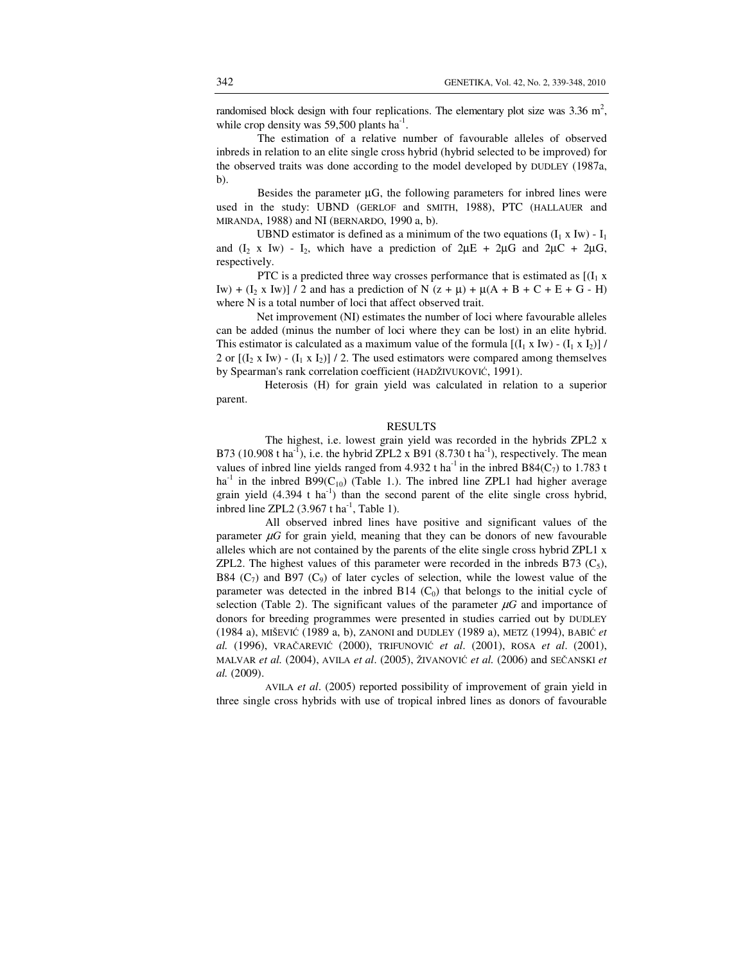randomised block design with four replications. The elementary plot size was  $3.36 \text{ m}^2$ , while crop density was 59,500 plants  $ha^{-1}$ .

 The estimation of a relative number of favourable alleles of observed inbreds in relation to an elite single cross hybrid (hybrid selected to be improved) for the observed traits was done according to the model developed by DUDLEY (1987a, b).

Besides the parameter  $\mu$ G, the following parameters for inbred lines were used in the study: UBND (GERLOF and SMITH, 1988), PTC (HALLAUER and MIRANDA, 1988) and NI (BERNARDO, 1990 a, b).

UBND estimator is defined as a minimum of the two equations  $(I_1 \times I_2) - I_1$ and  $(I_2 \times Iw) - I_2$ , which have a prediction of  $2\mu E + 2\mu G$  and  $2\mu C + 2\mu G$ , respectively.

PTC is a predicted three way crosses performance that is estimated as  $[(I_1 \times I_2)]$ Iw) +  $(I_2$  x Iw)] / 2 and has a prediction of N  $(z + \mu)$  +  $\mu(A + B + C + E + G - H)$ where N is a total number of loci that affect observed trait.

Net improvement (NI) estimates the number of loci where favourable alleles can be added (minus the number of loci where they can be lost) in an elite hybrid. This estimator is calculated as a maximum value of the formula  $[(I_1 \times I_2) - (I_1 \times I_2)]$ 2 or  $[(I_2 \times I_2) \cdot (I_1 \times I_2)] / 2$ . The used estimators were compared among themselves by Spearman's rank correlation coefficient (HADŽIVUKOVIĆ, 1991).

Heterosis (H) for grain yield was calculated in relation to a superior parent.

#### RESULTS

The highest, i.e. lowest grain yield was recorded in the hybrids ZPL2 x B73 (10.908 t ha<sup>-1</sup>), i.e. the hybrid ZPL2 x B91 (8.730 t ha<sup>-1</sup>), respectively. The mean values of inbred line yields ranged from 4.932 t ha<sup>-1</sup> in the inbred B84( $C_7$ ) to 1.783 t ha<sup>-1</sup> in the inbred B99( $C_{10}$ ) (Table 1.). The inbred line ZPL1 had higher average grain yield  $(4.394 \text{ t} \text{ ha}^{-1})$  than the second parent of the elite single cross hybrid, inbred line ZPL2  $(3.967 \text{ t} \text{ ha}^{-1}$ , Table 1).

All observed inbred lines have positive and significant values of the parameter  $\mu$ *G* for grain yield, meaning that they can be donors of new favourable alleles which are not contained by the parents of the elite single cross hybrid ZPL1 x ZPL2. The highest values of this parameter were recorded in the inbreds B73  $(C_5)$ , B84  $(C_7)$  and B97  $(C_9)$  of later cycles of selection, while the lowest value of the parameter was detected in the inbred  $B14$  (C<sub>0</sub>) that belongs to the initial cycle of selection (Table 2). The significant values of the parameter  $\mu$ *G* and importance of donors for breeding programmes were presented in studies carried out by DUDLEY (1984 a), MIŠEVIĆ (1989 a, b), ZANONI and DUDLEY (1989 a), METZ (1994), BABIĆ *et al.* (1996), VRAČAREVIĆ (2000), TRIFUNOVIĆ *et al*. (2001), ROSA *et al*. (2001), MALVAR *et al.* (2004), AVILA *et al*. (2005), ŽIVANOVIĆ *et al.* (2006) and SEČANSKI *et al.* (2009).

AVILA *et al*. (2005) reported possibility of improvement of grain yield in three single cross hybrids with use of tropical inbred lines as donors of favourable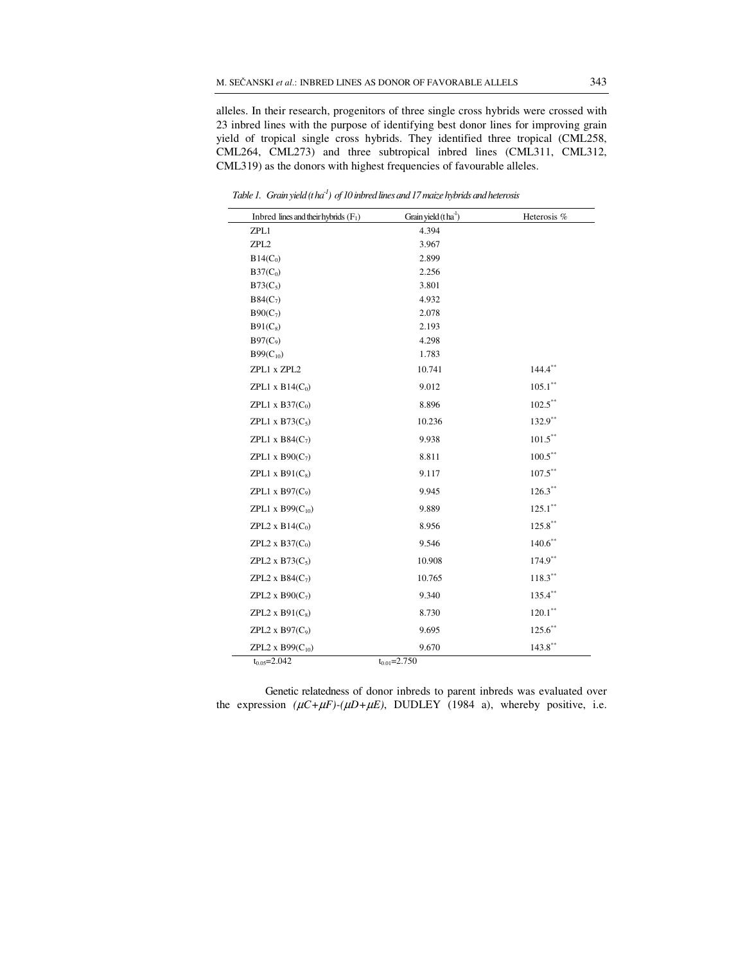alleles. In their research, progenitors of three single cross hybrids were crossed with 23 inbred lines with the purpose of identifying best donor lines for improving grain yield of tropical single cross hybrids. They identified three tropical (CML258, CML264, CML273) and three subtropical inbred lines (CML311, CML312, CML319) as the donors with highest frequencies of favourable alleles.

| Indeed lines and their hybrids $(F_1)$ | Grain yield $(t \, ha^{-1})$ | Heterosis %        |
|----------------------------------------|------------------------------|--------------------|
| ZPL1                                   | 4.394                        |                    |
| ZPL2                                   | 3.967                        |                    |
| B14(C <sub>0</sub> )                   | 2.899                        |                    |
| B37(C <sub>0</sub> )                   | 2.256                        |                    |
| $B73(C_5)$                             | 3.801                        |                    |
| $B84(C_7)$                             | 4.932                        |                    |
| $B90(C_7)$                             | 2.078                        |                    |
| $B91(C_8)$                             | 2.193                        |                    |
| $B97(C_9)$                             | 4.298                        |                    |
| $B99(C_{10})$                          | 1.783                        |                    |
| ZPL1 x ZPL2                            | 10.741                       | $144.4***$         |
| ZPL1 x $B14(C_0)$                      | 9.012                        | $105.1***$         |
| ZPL1 x $B37(C_0)$                      | 8.896                        | $102.5***$         |
| ZPL1 x $B73(C_5)$                      | 10.236                       | $132.9***$         |
| ZPL1 x $B84(C_7)$                      | 9.938                        | $101.5***$         |
| ZPL1 x B90 $(C_7)$                     | 8.811                        | $100.5***$         |
| ZPL1 x $B91(C_8)$                      | 9.117                        | $107.5^{\ast\ast}$ |
| ZPL1 x B97 $(C_9)$                     | 9.945                        | $126.3***$         |
| ZPL1 x B99 $(C_{10})$                  | 9.889                        | $125.1***$         |
| ZPL2 x $B14(C_0)$                      | 8.956                        | $125.8***$         |
| ZPL2 x $B37(C_0)$                      | 9.546                        | $140.6***$         |
| ZPL2 x $B73(C_5)$                      | 10.908                       | $174.9***$         |
| ZPL2 x B84 $(C_7)$                     | 10.765                       | $118.3***$         |
| ZPL2 x B90 $(C_7)$                     | 9.340                        | $135.4***$         |
| ZPL2 x $B91(C_8)$                      | 8.730                        | $120.1***$         |
| ZPL2 x B97 $(C_9)$                     | 9.695                        | $125.6***$         |
| ZPL2 x B99 $(C_{10})$                  | 9.670                        | $143.8***$         |
| $t_{0.05} = 2.042$                     | $t_{0.01} = 2.750$           |                    |

*Table 1. Grain yield (t ha-1) of 10 inbred lines and 17 maize hybrids and heterosis* 

Genetic relatedness of donor inbreds to parent inbreds was evaluated over the expression  $(\mu C + \mu F)$ - $(\mu D + \mu E)$ , DUDLEY (1984 a), whereby positive, i.e.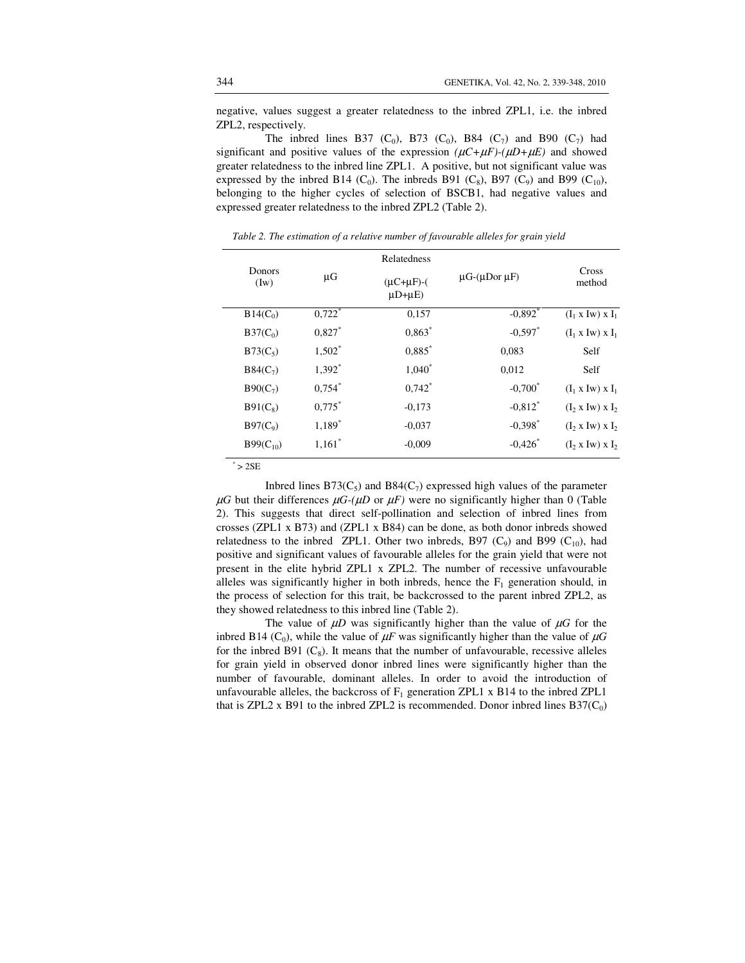negative, values suggest a greater relatedness to the inbred ZPL1, i.e. the inbred ZPL2, respectively.

The inbred lines B37 (C<sub>0</sub>), B73 (C<sub>0</sub>), B84 (C<sub>7</sub>) and B90 (C<sub>7</sub>) had significant and positive values of the expression  $(\mu C + \mu F)$ - $(\mu D + \mu E)$  and showed greater relatedness to the inbred line ZPL1. A positive, but not significant value was expressed by the inbred B14 (C<sub>0</sub>). The inbreds B91 (C<sub>8</sub>), B97 (C<sub>9</sub>) and B99 (C<sub>10</sub>), belonging to the higher cycles of selection of BSCB1, had negative values and expressed greater relatedness to the inbred ZPL2 (Table 2).

|                       |                      | Relatedness                                  |                              | Cross<br>method               |
|-----------------------|----------------------|----------------------------------------------|------------------------------|-------------------------------|
| <b>Donors</b><br>(Iw) | μG                   | $(\mu C + \mu F)$ - $($<br>$\mu$ D+ $\mu$ E) | $\mu$ G- $(\mu$ Dor $\mu$ F) |                               |
| $B14(C_0)$            | $0,722$ <sup>*</sup> | 0.157                                        | $-0,892$ <sup>*</sup>        | $(I_1 \times I_2) \times I_1$ |
| $B37(C_0)$            | 0,827                | $0,863*$                                     | $-0,597$                     | $(I_1 \times I_2) \times I_1$ |
| $B73(C_5)$            | $1,502^*$            | $0,885$ *                                    | 0,083                        | Self                          |
| $B84(C_7)$            | $1.392*$             | $1.040^*$                                    | 0.012                        | Self                          |
| $B90(C_7)$            | 0.754                | $0.742$ <sup>*</sup>                         | $-0,700^*$                   | $(I_1 \times I_2) \times I_1$ |
| $B91(C_8)$            | $0.775*$             | $-0.173$                                     | $-0.812$ <sup>*</sup>        | $(I_2 \times I_2) \times I_2$ |
| B97(C <sub>9</sub> )  | $1.189*$             | $-0.037$                                     | $-0.398$ <sup>*</sup>        | $(I_2 \times I_2) \times I_2$ |
| $B99(C_{10})$         | $1,161$ <sup>*</sup> | $-0.009$                                     | $-0.426$                     | $(I_2 \times I_2) \times I_2$ |

*Table 2. The estimation of a relative number of favourable alleles for grain yield* 

 $^*$  > 2SE

Inbred lines  $B73(C_5)$  and  $B84(C_7)$  expressed high values of the parameter  $\mu$ *G* but their differences  $\mu$ *G-(* $\mu$ *D* or  $\mu$ *F)* were no significantly higher than 0 (Table 2). This suggests that direct self-pollination and selection of inbred lines from crosses (ZPL1 x B73) and (ZPL1 x B84) can be done, as both donor inbreds showed relatedness to the inbred ZPL1. Other two inbreds, B97  $(C_9)$  and B99  $(C_{10})$ , had positive and significant values of favourable alleles for the grain yield that were not present in the elite hybrid ZPL1 x ZPL2. The number of recessive unfavourable alleles was significantly higher in both inbreds, hence the  $F_1$  generation should, in the process of selection for this trait, be backcrossed to the parent inbred ZPL2, as they showed relatedness to this inbred line (Table 2).

The value of  $\mu D$  was significantly higher than the value of  $\mu G$  for the inbred B14 (C<sub>0</sub>), while the value of  $\mu$ *F* was significantly higher than the value of  $\mu$ *G* for the inbred B91  $(C_8)$ . It means that the number of unfavourable, recessive alleles for grain yield in observed donor inbred lines were significantly higher than the number of favourable, dominant alleles. In order to avoid the introduction of unfavourable alleles, the backcross of  $F_1$  generation ZPL1 x B14 to the inbred ZPL1 that is ZPL2 x B91 to the inbred ZPL2 is recommended. Donor inbred lines  $B37(C_0)$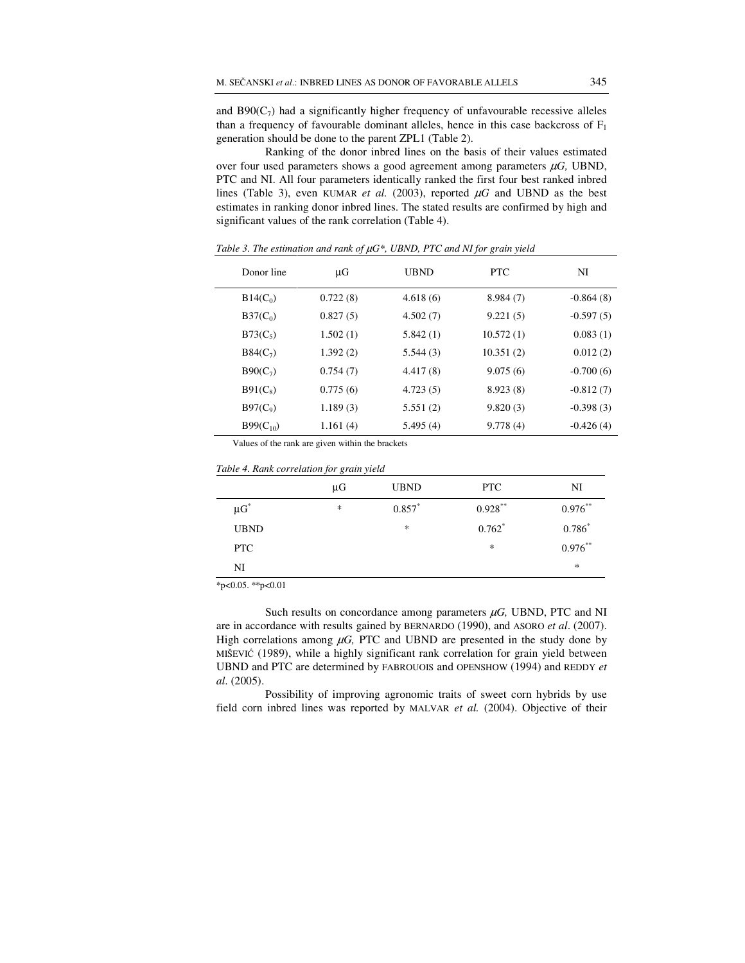and  $B90(C_7)$  had a significantly higher frequency of unfavourable recessive alleles than a frequency of favourable dominant alleles, hence in this case backcross of  $F_1$ generation should be done to the parent ZPL1 (Table 2).

Ranking of the donor inbred lines on the basis of their values estimated over four used parameters shows a good agreement among parameters  $\mu$ *G*, UBND, PTC and NI. All four parameters identically ranked the first four best ranked inbred lines (Table 3), even KUMAR *et al.* (2003), reported µ*G* and UBND as the best estimates in ranking donor inbred lines. The stated results are confirmed by high and significant values of the rank correlation (Table 4).

| Donor line           | μG       | <b>UBND</b> | <b>PTC</b> | NI          |
|----------------------|----------|-------------|------------|-------------|
| $B14(C_0)$           | 0.722(8) | 4.618(6)    | 8.984(7)   | $-0.864(8)$ |
| $B37(C_0)$           | 0.827(5) | 4.502(7)    | 9.221(5)   | $-0.597(5)$ |
| $B73(C_5)$           | 1.502(1) | 5.842(1)    | 10.572(1)  | 0.083(1)    |
| $B84(C_7)$           | 1.392(2) | 5.544(3)    | 10.351(2)  | 0.012(2)    |
| $B90(C_7)$           | 0.754(7) | 4.417(8)    | 9.075(6)   | $-0.700(6)$ |
| $B91(C_8)$           | 0.775(6) | 4.723(5)    | 8.923(8)   | $-0.812(7)$ |
| B97(C <sub>9</sub> ) | 1.189(3) | 5.551(2)    | 9.820(3)   | $-0.398(3)$ |
| $B99(C_{10})$        | 1.161(4) | 5.495(4)    | 9.778(4)   | $-0.426(4)$ |

*Table 3. The estimation and rank of*  $\mu$ *G\*, UBND, PTC and NI for grain yield* 

Values of the rank are given within the brackets

*Table 4. Rank correlation for grain yield* 

|             | $\cdots$ | .           |            |            |
|-------------|----------|-------------|------------|------------|
|             | $\mu$ G  | <b>UBND</b> | <b>PTC</b> | NI         |
| $\mu G^*$   | $\ast$   | $0.857*$    | $0.928***$ | $0.976***$ |
| <b>UBND</b> |          | $\ast$      | $0.762*$   | $0.786*$   |
| <b>PTC</b>  |          |             | $\ast$     | $0.976**$  |
| NI          |          |             |            | $\ast$     |
|             |          |             |            |            |

 $*p<0.05$ .  $*p<0.01$ 

Such results on concordance among parameters  $\mu$ G, UBND, PTC and NI are in accordance with results gained by BERNARDO (1990), and ASORO *et al*. (2007). High correlations among  $\mu$ G, PTC and UBND are presented in the study done by MIŠEVIĆ (1989), while a highly significant rank correlation for grain yield between UBND and PTC are determined by FABROUOIS and OPENSHOW (1994) and REDDY *et al*. (2005).

Possibility of improving agronomic traits of sweet corn hybrids by use field corn inbred lines was reported by MALVAR *et al.* (2004). Objective of their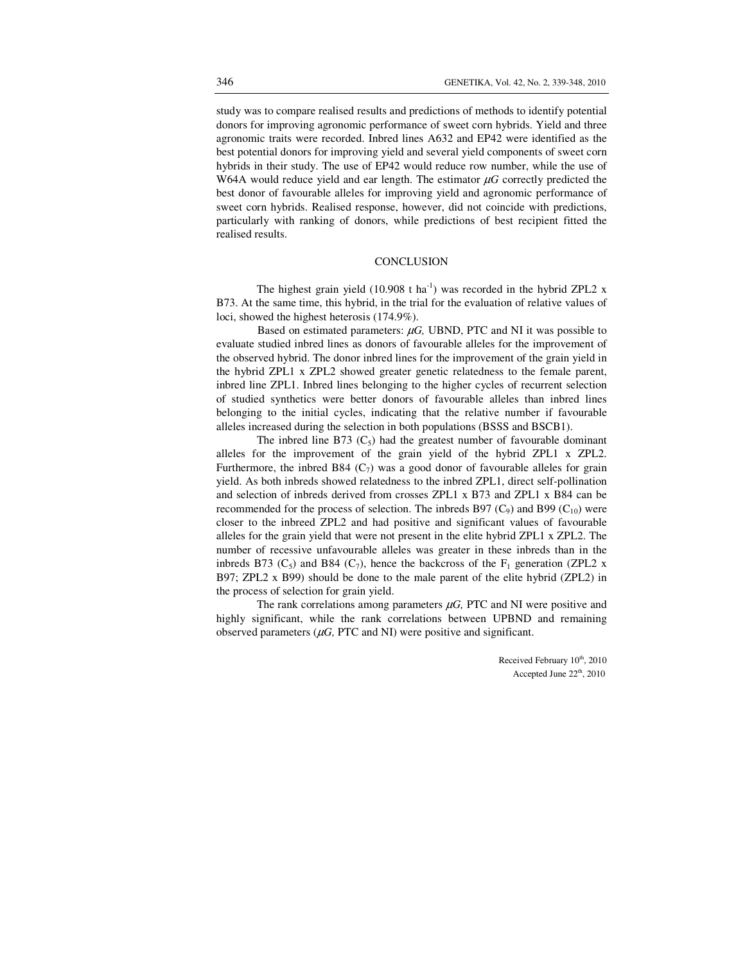study was to compare realised results and predictions of methods to identify potential donors for improving agronomic performance of sweet corn hybrids. Yield and three agronomic traits were recorded. Inbred lines A632 and EP42 were identified as the best potential donors for improving yield and several yield components of sweet corn hybrids in their study. The use of EP42 would reduce row number, while the use of W64A would reduce yield and ear length. The estimator  $\mu$ *G* correctly predicted the best donor of favourable alleles for improving yield and agronomic performance of sweet corn hybrids. Realised response, however, did not coincide with predictions, particularly with ranking of donors, while predictions of best recipient fitted the realised results.

## **CONCLUSION**

The highest grain yield  $(10.908 \text{ t ha}^{-1})$  was recorded in the hybrid ZPL2 x B73. At the same time, this hybrid, in the trial for the evaluation of relative values of loci, showed the highest heterosis (174.9%).

Based on estimated parameters:  $\mu$ G, UBND, PTC and NI it was possible to evaluate studied inbred lines as donors of favourable alleles for the improvement of the observed hybrid. The donor inbred lines for the improvement of the grain yield in the hybrid ZPL1 x ZPL2 showed greater genetic relatedness to the female parent, inbred line ZPL1. Inbred lines belonging to the higher cycles of recurrent selection of studied synthetics were better donors of favourable alleles than inbred lines belonging to the initial cycles, indicating that the relative number if favourable alleles increased during the selection in both populations (BSSS and BSCB1).

The inbred line B73  $(C_5)$  had the greatest number of favourable dominant alleles for the improvement of the grain yield of the hybrid ZPL1 x ZPL2. Furthermore, the inbred B84  $(C_7)$  was a good donor of favourable alleles for grain yield. As both inbreds showed relatedness to the inbred ZPL1, direct self-pollination and selection of inbreds derived from crosses ZPL1 x B73 and ZPL1 x B84 can be recommended for the process of selection. The inbreds B97  $(C<sub>9</sub>)$  and B99  $(C<sub>10</sub>)$  were closer to the inbreed ZPL2 and had positive and significant values of favourable alleles for the grain yield that were not present in the elite hybrid ZPL1 x ZPL2. The number of recessive unfavourable alleles was greater in these inbreds than in the inbreds B73 ( $C_5$ ) and B84 ( $C_7$ ), hence the backcross of the  $F_1$  generation (ZPL2 x B97; ZPL2 x B99) should be done to the male parent of the elite hybrid (ZPL2) in the process of selection for grain yield.

The rank correlations among parameters  $\mu$ G, PTC and NI were positive and highly significant, while the rank correlations between UPBND and remaining observed parameters  $(\mu G, PTC \text{ and } NI)$  were positive and significant.

> Received February  $10^{th}$ , 2010 Accepted June  $22<sup>th</sup>$ , 2010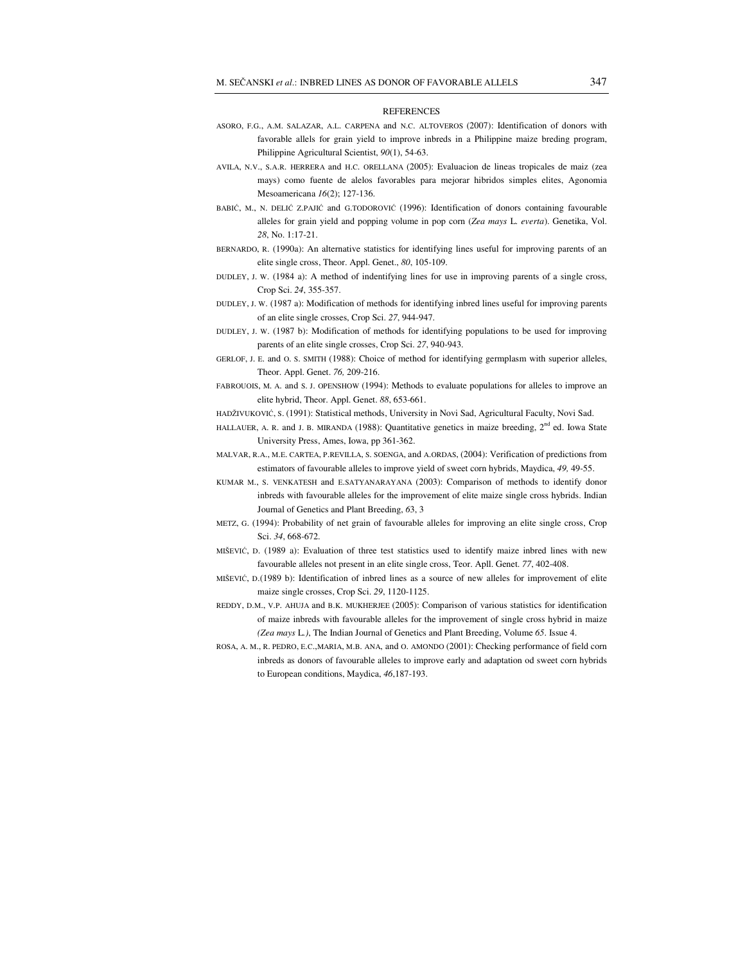#### **REFERENCES**

- ASORO, F.G., A.M. SALAZAR, A.L. CARPENA and N.C. ALTOVEROS (2007): Identification of donors with favorable allels for grain yield to improve inbreds in a Philippine maize breding program, Philippine Agricultural Scientist, *90*(1), 54-63.
- AVILA, N.V., S.A.R. HERRERA and H.C. ORELLANA (2005): Evaluacion de lineas tropicales de maiz (zea mays) como fuente de alelos favorables para mejorar hibridos simples elites, Agonomia Mesoamericana *16*(2); 127-136.
- BABIĆ, M., N. DELIĆ Z.PAJIĆ and G.TODOROVIĆ (1996): Identification of donors containing favourable alleles for grain yield and popping volume in pop corn (*Zea mays* L. *everta*). Genetika, Vol. *28*, No. 1:17-21.
- BERNARDO, R. (1990a): An alternative statistics for identifying lines useful for improving parents of an elite single cross, Theor. Appl. Genet., *80*, 105-109.
- DUDLEY, J. W. (1984 a): A method of indentifying lines for use in improving parents of a single cross, Crop Sci. *24*, 355-357.
- DUDLEY, J. W. (1987 a): Modification of methods for identifying inbred lines useful for improving parents of an elite single crosses, Crop Sci. *27*, 944-947.
- DUDLEY, J. W. (1987 b): Modification of methods for identifying populations to be used for improving parents of an elite single crosses, Crop Sci. *27*, 940-943.
- GERLOF, J. E. and O. S. SMITH (1988): Choice of method for identifying germplasm with superior alleles, Theor. Appl. Genet. *76,* 209-216.
- FABROUOIS, M. A. and S. J. OPENSHOW (1994): Methods to evaluate populations for alleles to improve an elite hybrid, Theor. Appl. Genet. *88*, 653-661.
- HADŽIVUKOVIĆ, S. (1991): Statistical methods, University in Novi Sad, Agricultural Faculty, Novi Sad.
- HALLAUER, A. R. and J. B. MIRANDA (1988): Quantitative genetics in maize breeding, 2<sup>nd</sup> ed. Iowa State University Press, Ames, Iowa, pp 361-362.
- MALVAR, R.A., M.E. CARTEA, P.REVILLA, S. SOENGA, and A.ORDAS, (2004): Verification of predictions from estimators of favourable alleles to improve yield of sweet corn hybrids, Maydica, *49,* 49-55.
- KUMAR M., S. VENKATESH and E.SATYANARAYANA (2003): Comparison of methods to identify donor inbreds with favourable alleles for the improvement of elite maize single cross hybrids. Indian Journal of Genetics and Plant Breeding, *6*3, 3
- METZ, G. (1994): Probability of net grain of favourable alleles for improving an elite single cross, Crop Sci. *34*, 668-672.
- MIŠEVIĆ, D. (1989 a): Evaluation of three test statistics used to identify maize inbred lines with new favourable alleles not present in an elite single cross, Teor. Apll. Genet. *77*, 402-408.
- MIŠEVIĆ, D.(1989 b): Identification of inbred lines as a source of new alleles for improvement of elite maize single crosses, Crop Sci. *29*, 1120-1125.
- REDDY, D.M., V.P. AHUJA and B.K. MUKHERJEE (2005): Comparison of various statistics for identification of maize inbreds with favourable alleles for the improvement of single cross hybrid in maize *(Zea mays* L*.)*, The Indian Journal of Genetics and Plant Breeding, Volume *65*. Issue 4.
- ROSA, A. M., R. PEDRO, E.C.,MARIA, M.B. ANA, and O. AMONDO (2001): Checking performance of field corn inbreds as donors of favourable alleles to improve early and adaptation od sweet corn hybrids to European conditions, Maydica, *46*,187-193.